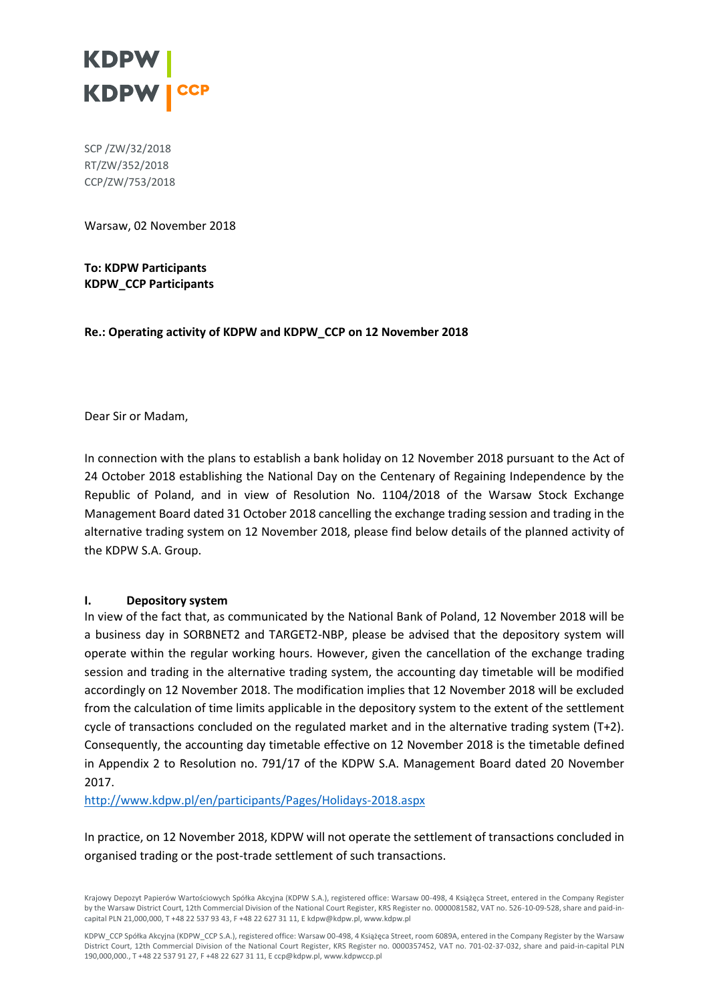

SCP /ZW/32/2018 RT/ZW/352/2018 CCP/ZW/753/2018

Warsaw, 02 November 2018

**To: KDPW Participants KDPW\_CCP Participants**

**Re.: Operating activity of KDPW and KDPW\_CCP on 12 November 2018**

Dear Sir or Madam,

In connection with the plans to establish a bank holiday on 12 November 2018 pursuant to the Act of 24 October 2018 establishing the National Day on the Centenary of Regaining Independence by the Republic of Poland, and in view of Resolution No. 1104/2018 of the Warsaw Stock Exchange Management Board dated 31 October 2018 cancelling the exchange trading session and trading in the alternative trading system on 12 November 2018, please find below details of the planned activity of the KDPW S.A. Group.

#### **I. Depository system**

In view of the fact that, as communicated by the National Bank of Poland, 12 November 2018 will be a business day in SORBNET2 and TARGET2-NBP, please be advised that the depository system will operate within the regular working hours. However, given the cancellation of the exchange trading session and trading in the alternative trading system, the accounting day timetable will be modified accordingly on 12 November 2018. The modification implies that 12 November 2018 will be excluded from the calculation of time limits applicable in the depository system to the extent of the settlement cycle of transactions concluded on the regulated market and in the alternative trading system (T+2). Consequently, the accounting day timetable effective on 12 November 2018 is the timetable defined in Appendix 2 to Resolution no. 791/17 of the KDPW S.A. Management Board dated 20 November 2017.

<http://www.kdpw.pl/en/participants/Pages/Holidays-2018.aspx>

In practice, on 12 November 2018, KDPW will not operate the settlement of transactions concluded in organised trading or the post-trade settlement of such transactions.

Krajowy Depozyt Papierów Wartościowych Spółka Akcyjna (KDPW S.A.), registered office: Warsaw 00-498, 4 Książęca Street, entered in the Company Register by the Warsaw District Court, 12th Commercial Division of the National Court Register, KRS Register no. 0000081582, VAT no. 526-10-09-528, share and paid-incapital PLN 21,000,000, T +48 22 537 93 43, F +48 22 627 31 11, E kdpw@kdpw.pl, www.kdpw.pl

KDPW\_CCP Spółka Akcyjna (KDPW\_CCP S.A.), registered office: Warsaw 00-498, 4 Książęca Street, room 6089A, entered in the Company Register by the Warsaw District Court, 12th Commercial Division of the National Court Register, KRS Register no. 0000357452, VAT no. 701-02-37-032, share and paid-in-capital PLN 190,000,000., T +48 22 537 91 27, F +48 22 627 31 11, E ccp@kdpw.pl, www.kdpwccp.pl